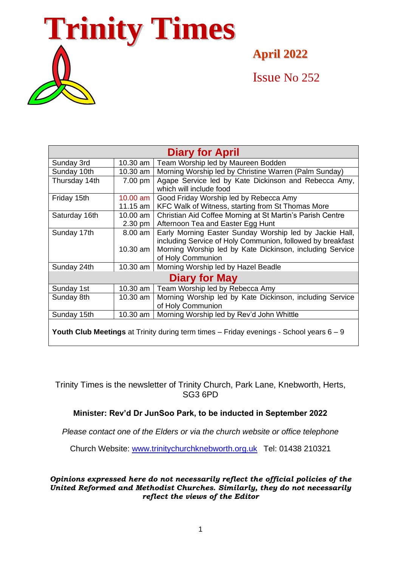

**April 2022**

Issue No 252

| <b>Diary for April</b>                                                                             |            |                                                            |
|----------------------------------------------------------------------------------------------------|------------|------------------------------------------------------------|
| Sunday 3rd                                                                                         | 10.30 am   | Team Worship led by Maureen Bodden                         |
| Sunday 10th                                                                                        | 10.30 am   | Morning Worship led by Christine Warren (Palm Sunday)      |
| Thursday 14th                                                                                      | 7.00 pm    | Agape Service led by Kate Dickinson and Rebecca Amy,       |
|                                                                                                    |            | which will include food                                    |
| Friday 15th                                                                                        | $10.00$ am | Good Friday Worship led by Rebecca Amy                     |
|                                                                                                    | 11.15 am   | KFC Walk of Witness, starting from St Thomas More          |
| Saturday 16th                                                                                      | 10.00 am   | Christian Aid Coffee Morning at St Martin's Parish Centre  |
|                                                                                                    | 2.30 pm    | Afternoon Tea and Easter Egg Hunt                          |
| Sunday 17th                                                                                        | 8.00 am    | Early Morning Easter Sunday Worship led by Jackie Hall,    |
|                                                                                                    |            | including Service of Holy Communion, followed by breakfast |
|                                                                                                    | 10.30 am   | Morning Worship led by Kate Dickinson, including Service   |
|                                                                                                    |            | of Holy Communion                                          |
| Sunday 24th                                                                                        | 10.30 am   | Morning Worship led by Hazel Beadle                        |
| Diary for May                                                                                      |            |                                                            |
| Sunday 1st                                                                                         | 10.30 am   | Team Worship led by Rebecca Amy                            |
| Sunday 8th                                                                                         | 10.30 am   | Morning Worship led by Kate Dickinson, including Service   |
|                                                                                                    |            | of Holy Communion                                          |
| Sunday 15th                                                                                        | 10.30 am   | Morning Worship led by Rev'd John Whittle                  |
| <b>Youth Club Meetings</b> at Trinity during term times $-$ Friday evenings - School years $6 - 9$ |            |                                                            |

Trinity Times is the newsletter of Trinity Church, Park Lane, Knebworth, Herts, SG3 6PD

# **Minister: Rev'd Dr JunSoo Park, to be inducted in September 2022**

*Please contact one of the Elders or via the church website or office telephone*

Church Website: [www.trinitychurchknebworth.org.uk](http://www.trinitychurchknebworth.org.uk/) Tel: 01438 210321

*Opinions expressed here do not necessarily reflect the official policies of the United Reformed and Methodist Churches. Similarly, they do not necessarily reflect the views of the Editor*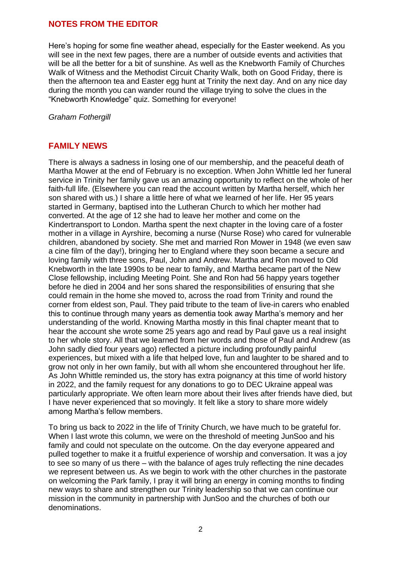### **NOTES FROM THE EDITOR**

Here's hoping for some fine weather ahead, especially for the Easter weekend. As you will see in the next few pages, there are a number of outside events and activities that will be all the better for a bit of sunshine. As well as the Knebworth Family of Churches Walk of Witness and the Methodist Circuit Charity Walk, both on Good Friday, there is then the afternoon tea and Easter egg hunt at Trinity the next day. And on any nice day during the month you can wander round the village trying to solve the clues in the "Knebworth Knowledge" quiz. Something for everyone!

*Graham Fothergill*

# **FAMILY NEWS**

There is always a sadness in losing one of our membership, and the peaceful death of Martha Mower at the end of February is no exception. When John Whittle led her funeral service in Trinity her family gave us an amazing opportunity to reflect on the whole of her faith-full life. (Elsewhere you can read the account written by Martha herself, which her son shared with us.) I share a little here of what we learned of her life. Her 95 years started in Germany, baptised into the Lutheran Church to which her mother had converted. At the age of 12 she had to leave her mother and come on the Kindertransport to London. Martha spent the next chapter in the loving care of a foster mother in a village in Ayrshire, becoming a nurse (Nurse Rose) who cared for vulnerable children, abandoned by society. She met and married Ron Mower in 1948 (we even saw a cine film of the day!), bringing her to England where they soon became a secure and loving family with three sons, Paul, John and Andrew. Martha and Ron moved to Old Knebworth in the late 1990s to be near to family, and Martha became part of the New Close fellowship, including Meeting Point. She and Ron had 56 happy years together before he died in 2004 and her sons shared the responsibilities of ensuring that she could remain in the home she moved to, across the road from Trinity and round the corner from eldest son, Paul. They paid tribute to the team of live-in carers who enabled this to continue through many years as dementia took away Martha's memory and her understanding of the world. Knowing Martha mostly in this final chapter meant that to hear the account she wrote some 25 years ago and read by Paul gave us a real insight to her whole story. All that we learned from her words and those of Paul and Andrew (as John sadly died four years ago) reflected a picture including profoundly painful experiences, but mixed with a life that helped love, fun and laughter to be shared and to grow not only in her own family, but with all whom she encountered throughout her life. As John Whittle reminded us, the story has extra poignancy at this time of world history in 2022, and the family request for any donations to go to DEC Ukraine appeal was particularly appropriate. We often learn more about their lives after friends have died, but I have never experienced that so movingly. It felt like a story to share more widely among Martha's fellow members.

To bring us back to 2022 in the life of Trinity Church, we have much to be grateful for. When I last wrote this column, we were on the threshold of meeting JunSoo and his family and could not speculate on the outcome. On the day everyone appeared and pulled together to make it a fruitful experience of worship and conversation. It was a joy to see so many of us there – with the balance of ages truly reflecting the nine decades we represent between us. As we begin to work with the other churches in the pastorate on welcoming the Park family, I pray it will bring an energy in coming months to finding new ways to share and strengthen our Trinity leadership so that we can continue our mission in the community in partnership with JunSoo and the churches of both our denominations.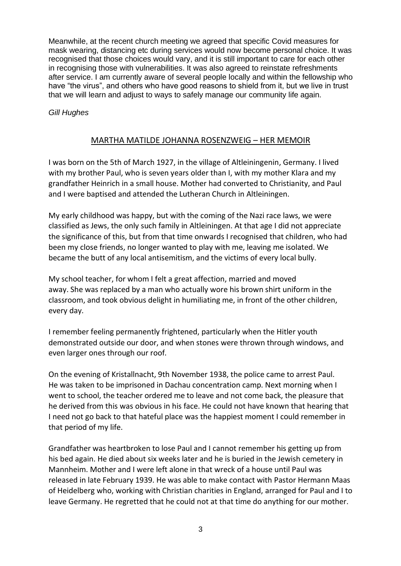Meanwhile, at the recent church meeting we agreed that specific Covid measures for mask wearing, distancing etc during services would now become personal choice. It was recognised that those choices would vary, and it is still important to care for each other in recognising those with vulnerabilities. It was also agreed to reinstate refreshments after service. I am currently aware of several people locally and within the fellowship who have "the virus", and others who have good reasons to shield from it, but we live in trust that we will learn and adjust to ways to safely manage our community life again.

*Gill Hughes*

# MARTHA MATILDE JOHANNA ROSENZWEIG – HER MEMOIR

I was born on the 5th of March 1927, in the village of Altleiningenin, Germany. I lived with my brother Paul, who is seven years older than I, with my mother Klara and my grandfather Heinrich in a small house. Mother had converted to Christianity, and Paul and I were baptised and attended the Lutheran Church in Altleiningen.

My early childhood was happy, but with the coming of the Nazi race laws, we were classified as Jews, the only such family in Altleiningen. At that age I did not appreciate the significance of this, but from that time onwards I recognised that children, who had been my close friends, no longer wanted to play with me, leaving me isolated. We became the butt of any local antisemitism, and the victims of every local bully.

My school teacher, for whom I felt a great affection, married and moved away. She was replaced by a man who actually wore his brown shirt uniform in the classroom, and took obvious delight in humiliating me, in front of the other children, every day.

I remember feeling permanently frightened, particularly when the Hitler youth demonstrated outside our door, and when stones were thrown through windows, and even larger ones through our roof.

On the evening of Kristallnacht, 9th November 1938, the police came to arrest Paul. He was taken to be imprisoned in Dachau concentration camp. Next morning when I went to school, the teacher ordered me to leave and not come back, the pleasure that he derived from this was obvious in his face. He could not have known that hearing that I need not go back to that hateful place was the happiest moment I could remember in that period of my life.

Grandfather was heartbroken to lose Paul and I cannot remember his getting up from his bed again. He died about six weeks later and he is buried in the Jewish cemetery in Mannheim. Mother and I were left alone in that wreck of a house until Paul was released in late February 1939. He was able to make contact with Pastor Hermann Maas of Heidelberg who, working with Christian charities in England, arranged for Paul and I to leave Germany. He regretted that he could not at that time do anything for our mother.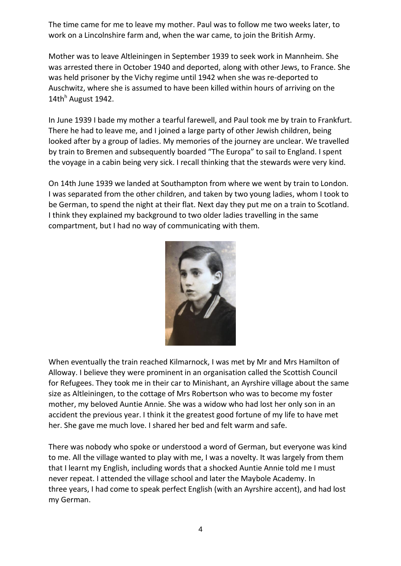The time came for me to leave my mother. Paul was to follow me two weeks later, to work on a Lincolnshire farm and, when the war came, to join the British Army.

Mother was to leave Altleiningen in September 1939 to seek work in Mannheim. She was arrested there in October 1940 and deported, along with other Jews, to France. She was held prisoner by the Vichy regime until 1942 when she was re-deported to Auschwitz, where she is assumed to have been killed within hours of arriving on the 14th $^h$  August 1942.

In June 1939 I bade my mother a tearful farewell, and Paul took me by train to Frankfurt. There he had to leave me, and I joined a large party of other Jewish children, being looked after by a group of ladies. My memories of the journey are unclear. We travelled by train to Bremen and subsequently boarded "The Europa" to sail to England. I spent the voyage in a cabin being very sick. I recall thinking that the stewards were very kind.

On 14th June 1939 we landed at Southampton from where we went by train to London. I was separated from the other children, and taken by two young ladies, whom I took to be German, to spend the night at their flat. Next day they put me on a train to Scotland. I think they explained my background to two older ladies travelling in the same compartment, but I had no way of communicating with them.



When eventually the train reached Kilmarnock, I was met by Mr and Mrs Hamilton of Alloway. I believe they were prominent in an organisation called the Scottish Council for Refugees. They took me in their car to Minishant, an Ayrshire village about the same size as Altleiningen, to the cottage of Mrs Robertson who was to become my foster mother, my beloved Auntie Annie. She was a widow who had lost her only son in an accident the previous year. I think it the greatest good fortune of my life to have met her. She gave me much love. I shared her bed and felt warm and safe.

There was nobody who spoke or understood a word of German, but everyone was kind to me. All the village wanted to play with me, I was a novelty. It was largely from them that I learnt my English, including words that a shocked Auntie Annie told me I must never repeat. I attended the village school and later the Maybole Academy. In three years, I had come to speak perfect English (with an Ayrshire accent), and had lost my German.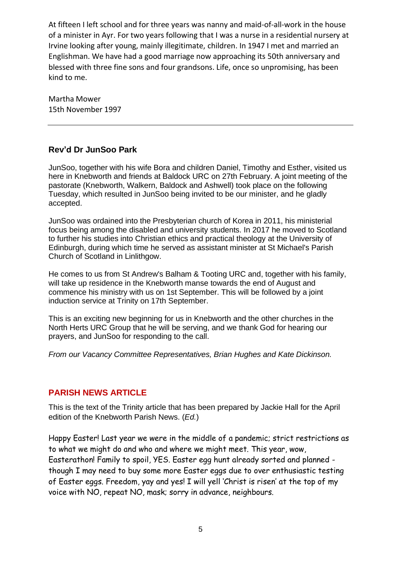At fifteen I left school and for three years was nanny and maid-of-all-work in the house of a minister in Ayr. For two years following that I was a nurse in a residential nursery at Irvine looking after young, mainly illegitimate, children. In 1947 I met and married an Englishman. We have had a good marriage now approaching its 50th anniversary and blessed with three fine sons and four grandsons. Life, once so unpromising, has been kind to me.

Martha Mower 15th November 1997

# **Rev'd Dr JunSoo Park**

JunSoo, together with his wife Bora and children Daniel, Timothy and Esther, visited us here in Knebworth and friends at Baldock URC on 27th February. A joint meeting of the pastorate (Knebworth, Walkern, Baldock and Ashwell) took place on the following Tuesday, which resulted in JunSoo being invited to be our minister, and he gladly accepted.

JunSoo was ordained into the Presbyterian church of Korea in 2011, his ministerial focus being among the disabled and university students. In 2017 he moved to Scotland to further his studies into Christian ethics and practical theology at the University of Edinburgh, during which time he served as assistant minister at St Michael's Parish Church of Scotland in Linlithgow.

He comes to us from St Andrew's Balham & Tooting URC and, together with his family, will take up residence in the Knebworth manse towards the end of August and commence his ministry with us on 1st September. This will be followed by a joint induction service at Trinity on 17th September.

This is an exciting new beginning for us in Knebworth and the other churches in the North Herts URC Group that he will be serving, and we thank God for hearing our prayers, and JunSoo for responding to the call.

*From our Vacancy Committee Representatives, Brian Hughes and Kate Dickinson.*

# **PARISH NEWS ARTICLE**

This is the text of the Trinity article that has been prepared by Jackie Hall for the April edition of the Knebworth Parish News. (*Ed.*)

Happy Easter! Last year we were in the middle of a pandemic; strict restrictions as to what we might do and who and where we might meet. This year, wow, Easterathon! Family to spoil, YES. Easter egg hunt already sorted and planned though I may need to buy some more Easter eggs due to over enthusiastic testing of Easter eggs. Freedom, yay and yes! I will yell 'Christ is risen' at the top of my voice with NO, repeat NO, mask; sorry in advance, neighbours.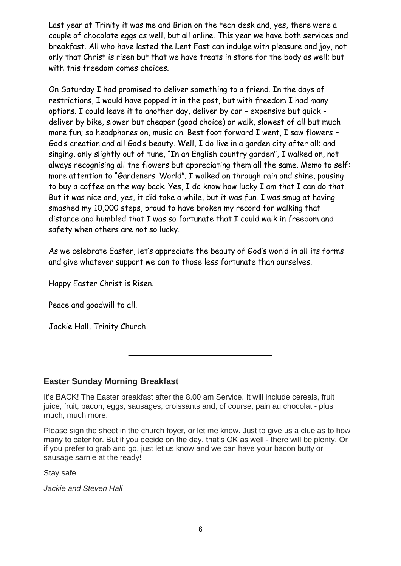Last year at Trinity it was me and Brian on the tech desk and, yes, there were a couple of chocolate eggs as well, but all online. This year we have both services and breakfast. All who have lasted the Lent Fast can indulge with pleasure and joy, not only that Christ is risen but that we have treats in store for the body as well; but with this freedom comes choices.

On Saturday I had promised to deliver something to a friend. In the days of restrictions, I would have popped it in the post, but with freedom I had many options. I could leave it to another day, deliver by car - expensive but quick deliver by bike, slower but cheaper (good choice) or walk, slowest of all but much more fun; so headphones on, music on. Best foot forward I went, I saw flowers – God's creation and all God's beauty. Well, I do live in a garden city after all; and singing, only slightly out of tune, "In an English country garden", I walked on, not always recognising all the flowers but appreciating them all the same. Memo to self: more attention to "Gardeners' World". I walked on through rain and shine, pausing to buy a coffee on the way back. Yes, I do know how lucky I am that I can do that. But it was nice and, yes, it did take a while, but it was fun. I was smug at having smashed my 10,000 steps, proud to have broken my record for walking that distance and humbled that I was so fortunate that I could walk in freedom and safety when others are not so lucky.

As we celebrate Easter, let's appreciate the beauty of God's world in all its forms and give whatever support we can to those less fortunate than ourselves.

Happy Easter Christ is Risen.

Peace and goodwill to all.

Jackie Hall, Trinity Church

# **Easter Sunday Morning Breakfast**

It's BACK! The Easter breakfast after the 8.00 am Service. It will include cereals, fruit juice, fruit, bacon, eggs, sausages, croissants and, of course, pain au chocolat - plus much, much more.

Please sign the sheet in the church foyer, or let me know. Just to give us a clue as to how many to cater for. But if you decide on the day, that's OK as well - there will be plenty. Or if you prefer to grab and go, just let us know and we can have your bacon butty or sausage sarnie at the ready!

\_\_\_\_\_\_\_\_\_\_\_\_\_\_\_\_\_\_\_\_\_\_\_\_\_\_\_\_\_\_\_

Stay safe

*Jackie and Steven Hall*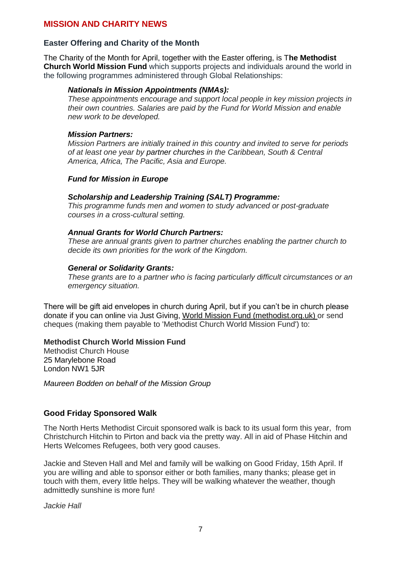### **MISSION AND CHARITY NEWS**

### **Easter Offering and Charity of the Month**

The Charity of the Month for April, together with the Easter offering, is T**he Methodist Church World Mission Fund** which supports projects and individuals around the world in the following programmes administered through Global Relationships:

#### *[Nationals in Mission Appointments \(NMAs\):](https://www.methodist.org.uk/our-work/our-work-worldwide/global-relationships/people-in-mission/nationals-in-mission-appointments/)*

*These appointments encourage and support local people in key mission projects in their own countries. Salaries are paid by the Fund for World Mission and enable new work to be developed.*

#### *[Mission Partners:](https://www.methodist.org.uk/our-work/our-work-worldwide/global-relationships/people-in-mission/mission-partners/)*

*Mission Partners are initially trained in this country and invited to serve for periods of at least one year by [partner churches](https://www.methodist.org.uk/our-work/our-work-worldwide/global-relationships/partnerships-in-mission/) in the Caribbean, South & Central America, Africa, The Pacific, Asia and Europe.*

#### *Fund for Mission in Europe*

### *Scholarship and Leadership Training (SALT) Programme:*

*This programme funds men and women to study advanced or post-graduate courses in a cross-cultural setting.*

#### *Annual Grants for World Church Partners:*

*These are annual grants given to partner churches enabling the partner church to decide its own priorities for the work of the Kingdom.*

#### *General or Solidarity Grants:*

*These grants are to a partner who is facing particularly difficult circumstances or an emergency situation.*

There will be gift aid envelopes in church during April, but if you can't be in church please donate if you can online via [Just Giving,](http://www.justgiving.com/mcfworldmission/donate/) [World Mission Fund \(methodist.org.uk\)](https://www.methodist.org.uk/our-work/support-our-work/about-our-funds/world-mission-fund/) or send cheques (making them payable to 'Methodist Church World Mission Fund') to:

#### **Methodist Church World Mission Fund**

Methodist Church House 25 Marylebone Road London NW1 5JR

*Maureen Bodden on behalf of the Mission Group*

### **Good Friday Sponsored Walk**

The North Herts Methodist Circuit sponsored walk is back to its usual form this year, from Christchurch Hitchin to Pirton and back via the pretty way. All in aid of Phase Hitchin and Herts Welcomes Refugees, both very good causes.

Jackie and Steven Hall and Mel and family will be walking on Good Friday, 15th April. If you are willing and able to sponsor either or both families, many thanks; please get in touch with them, every little helps. They will be walking whatever the weather, though admittedly sunshine is more fun!

*Jackie Hall*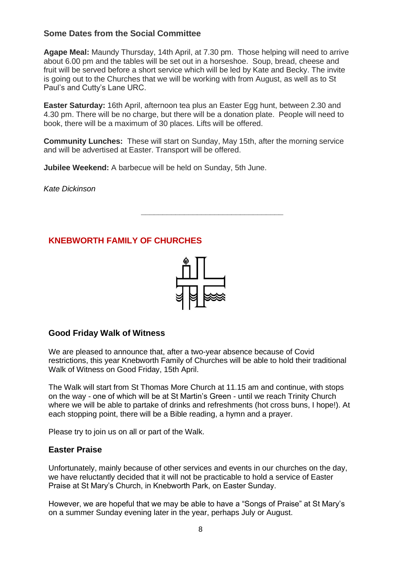# **Some Dates from the Social Committee**

**Agape Meal:** Maundy Thursday, 14th April, at 7.30 pm. Those helping will need to arrive about 6.00 pm and the tables will be set out in a horseshoe. Soup, bread, cheese and fruit will be served before a short service which will be led by Kate and Becky. The invite is going out to the Churches that we will be working with from August, as well as to St Paul's and Cutty's Lane URC.

**Easter Saturday:** 16th April, afternoon tea plus an Easter Egg hunt, between 2.30 and 4.30 pm. There will be no charge, but there will be a donation plate. People will need to book, there will be a maximum of 30 places. Lifts will be offered.

**Community Lunches:** These will start on Sunday, May 15th, after the morning service and will be advertised at Easter. Transport will be offered.

**Jubilee Weekend:** A barbecue will be held on Sunday, 5th June.

*Kate Dickinson*

# **KNEBWORTH FAMILY OF CHURCHES**



*\_\_\_\_\_\_\_\_\_\_\_\_\_\_\_\_\_\_\_\_\_\_\_\_\_\_\_\_\_\_\_\_\_*

# **Good Friday Walk of Witness**

We are pleased to announce that, after a two-year absence because of Covid restrictions, this year Knebworth Family of Churches will be able to hold their traditional Walk of Witness on Good Friday, 15th April.

The Walk will start from St Thomas More Church at 11.15 am and continue, with stops on the way - one of which will be at St Martin's Green - until we reach Trinity Church where we will be able to partake of drinks and refreshments (hot cross buns, I hope!). At each stopping point, there will be a Bible reading, a hymn and a prayer.

Please try to join us on all or part of the Walk.

### **Easter Praise**

Unfortunately, mainly because of other services and events in our churches on the day, we have reluctantly decided that it will not be practicable to hold a service of Easter Praise at St Mary's Church, in Knebworth Park, on Easter Sunday.

However, we are hopeful that we may be able to have a "Songs of Praise" at St Mary's on a summer Sunday evening later in the year, perhaps July or August.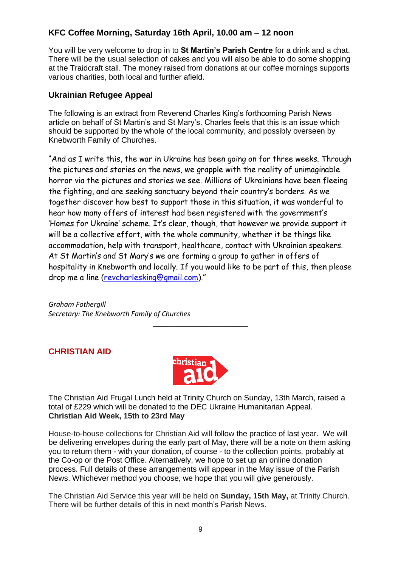# **KFC Coffee Morning, Saturday 16th April, 10.00 am – 12 noon**

You will be very welcome to drop in to **St Martin's Parish Centre** for a drink and a chat. There will be the usual selection of cakes and you will also be able to do some shopping at the Traidcraft stall. The money raised from donations at our coffee mornings supports various charities, both local and further afield.

### **Ukrainian Refugee Appeal**

The following is an extract from Reverend Charles King's forthcoming Parish News article on behalf of St Martin's and St Mary's. Charles feels that this is an issue which should be supported by the whole of the local community, and possibly overseen by Knebworth Family of Churches.

"And as I write this, the war in Ukraine has been going on for three weeks. Through the pictures and stories on the news, we grapple with the reality of unimaginable horror via the pictures and stories we see. Millions of Ukrainians have been fleeing the fighting, and are seeking sanctuary beyond their country's borders. As we together discover how best to support those in this situation, it was wonderful to hear how many offers of interest had been registered with the government's 'Homes for Ukraine' scheme. It's clear, though, that however we provide support it will be a collective effort, with the whole community, whether it be things like accommodation, help with transport, healthcare, contact with Ukrainian speakers. At St Martin's and St Mary's we are forming a group to gather in offers of hospitality in Knebworth and locally. If you would like to be part of this, then please drop me a line [\(revcharlesking@gmail.com](mailto:revcharlesking@gmail.com))."

*Graham Fothergill Secretary: The Knebworth Family of Churches*

# **CHRISTIAN AID**



\_\_\_\_\_\_\_\_\_\_\_\_\_\_\_\_\_\_\_\_\_\_\_

The Christian Aid Frugal Lunch held at Trinity Church on Sunday, 13th March, raised a total of £229 which will be donated to the DEC Ukraine Humanitarian Appeal. **Christian Aid Week, 15th to 23rd May**

House-to-house collections for Christian Aid will follow the practice of last year. We will be delivering envelopes during the early part of May, there will be a note on them asking you to return them - with your donation, of course - to the collection points, probably at the Co-op or the Post Office. Alternatively, we hope to set up an online donation process. Full details of these arrangements will appear in the May issue of the Parish News. Whichever method you choose, we hope that you will give generously.

The Christian Aid Service this year will be held on **Sunday, 15th May,** at Trinity Church. There will be further details of this in next month's Parish News.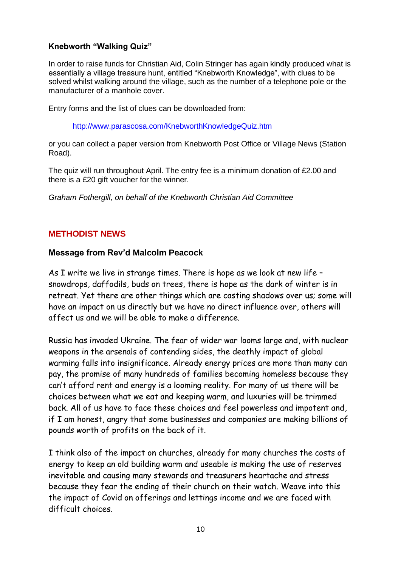# **Knebworth "Walking Quiz"**

In order to raise funds for Christian Aid, Colin Stringer has again kindly produced what is essentially a village treasure hunt, entitled "Knebworth Knowledge", with clues to be solved whilst walking around the village, such as the number of a telephone pole or the manufacturer of a manhole cover.

Entry forms and the list of clues can be downloaded from:

<http://www.parascosa.com/KnebworthKnowledgeQuiz.htm>

or you can collect a paper version from Knebworth Post Office or Village News (Station Road).

The quiz will run throughout April. The entry fee is a minimum donation of £2.00 and there is a £20 gift voucher for the winner.

*Graham Fothergill, on behalf of the Knebworth Christian Aid Committee*

# **METHODIST NEWS**

### **Message from Rev'd Malcolm Peacock**

As I write we live in strange times. There is hope as we look at new life – snowdrops, daffodils, buds on trees, there is hope as the dark of winter is in retreat. Yet there are other things which are casting shadows over us; some will have an impact on us directly but we have no direct influence over, others will affect us and we will be able to make a difference.

Russia has invaded Ukraine. The fear of wider war looms large and, with nuclear weapons in the arsenals of contending sides, the deathly impact of global warming falls into insignificance. Already energy prices are more than many can pay, the promise of many hundreds of families becoming homeless because they can't afford rent and energy is a looming reality. For many of us there will be choices between what we eat and keeping warm, and luxuries will be trimmed back. All of us have to face these choices and feel powerless and impotent and, if I am honest, angry that some businesses and companies are making billions of pounds worth of profits on the back of it.

I think also of the impact on churches, already for many churches the costs of energy to keep an old building warm and useable is making the use of reserves inevitable and causing many stewards and treasurers heartache and stress because they fear the ending of their church on their watch. Weave into this the impact of Covid on offerings and lettings income and we are faced with difficult choices.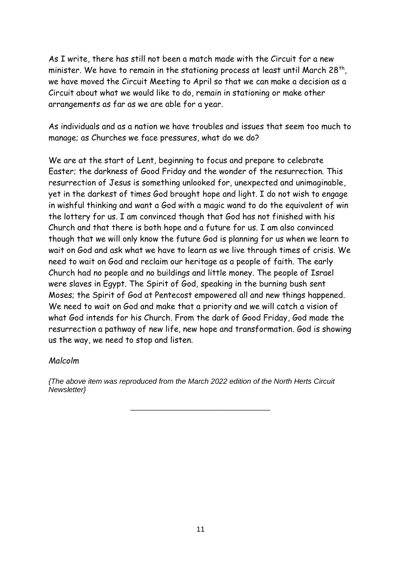As I write, there has still not been a match made with the Circuit for a new minister. We have to remain in the stationing process at least until March 28th, we have moved the Circuit Meeting to April so that we can make a decision as a Circuit about what we would like to do, remain in stationing or make other arrangements as far as we are able for a year.

As individuals and as a nation we have troubles and issues that seem too much to manage; as Churches we face pressures, what do we do?

We are at the start of Lent, beginning to focus and prepare to celebrate Easter; the darkness of Good Friday and the wonder of the resurrection. This resurrection of Jesus is something unlooked for, unexpected and unimaginable, yet in the darkest of times God brought hope and light. I do not wish to engage in wishful thinking and want a God with a magic wand to do the equivalent of win the lottery for us. I am convinced though that God has not finished with his Church and that there is both hope and a future for us. I am also convinced though that we will only know the future God is planning for us when we learn to wait on God and ask what we have to learn as we live through times of crisis. We need to wait on God and reclaim our heritage as a people of faith. The early Church had no people and no buildings and little money. The people of Israel were slaves in Egypt. The Spirit of God, speaking in the burning bush sent Moses; the Spirit of God at Pentecost empowered all and new things happened. We need to wait on God and make that a priority and we will catch a vision of what God intends for his Church. From the dark of Good Friday, God made the resurrection a pathway of new life, new hope and transformation. God is showing us the way, we need to stop and listen.

### *Malcolm*

*{The above item was reproduced from the March 2022 edition of the North Herts Circuit Newsletter}*

\_\_\_\_\_\_\_\_\_\_\_\_\_\_\_\_\_\_\_\_\_\_\_\_\_\_\_\_\_\_\_\_\_\_